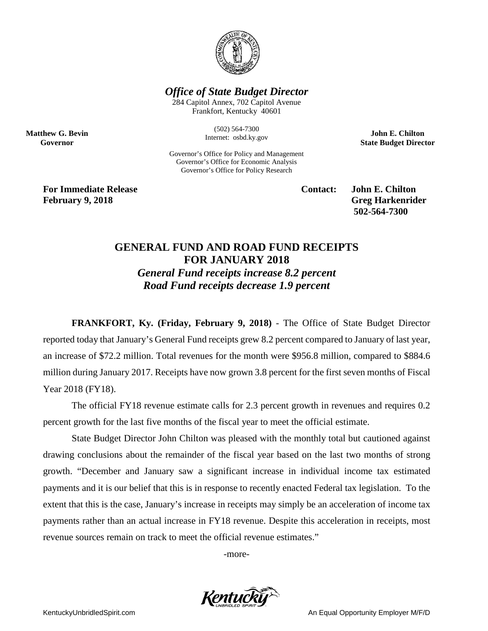

## *Office of State Budget Director*

284 Capitol Annex, 702 Capitol Avenue Frankfort, Kentucky 40601

> (502) 564-7300 Internet: osbd.ky.gov

Governor's Office for Policy and Management Governor's Office for Economic Analysis Governor's Office for Policy Research

**John E. Chilton State Budget Director**

**For Immediate Release Contact: John E. Chilton February 9, 2018 Greg Harkenrider** 

**Matthew G. Bevin Governor**

**502-564-7300** 

## **GENERAL FUND AND ROAD FUND RECEIPTS FOR JANUARY 2018** *General Fund receipts increase 8.2 percent*

*Road Fund receipts decrease 1.9 percent*

**FRANKFORT, Ky. (Friday, February 9, 2018)** - The Office of State Budget Director reported today that January's General Fund receipts grew 8.2 percent compared to January of last year, an increase of \$72.2 million. Total revenues for the month were \$956.8 million, compared to \$884.6 million during January 2017. Receipts have now grown 3.8 percent for the first seven months of Fiscal Year 2018 (FY18).

The official FY18 revenue estimate calls for 2.3 percent growth in revenues and requires 0.2 percent growth for the last five months of the fiscal year to meet the official estimate.

State Budget Director John Chilton was pleased with the monthly total but cautioned against drawing conclusions about the remainder of the fiscal year based on the last two months of strong growth. "December and January saw a significant increase in individual income tax estimated payments and it is our belief that this is in response to recently enacted Federal tax legislation. To the extent that this is the case, January's increase in receipts may simply be an acceleration of income tax payments rather than an actual increase in FY18 revenue. Despite this acceleration in receipts, most revenue sources remain on track to meet the official revenue estimates."

-more-



KentuckyUnbridledSpirit.com **An Equal Opportunity Employer M/F/D** An Equal Opportunity Employer M/F/D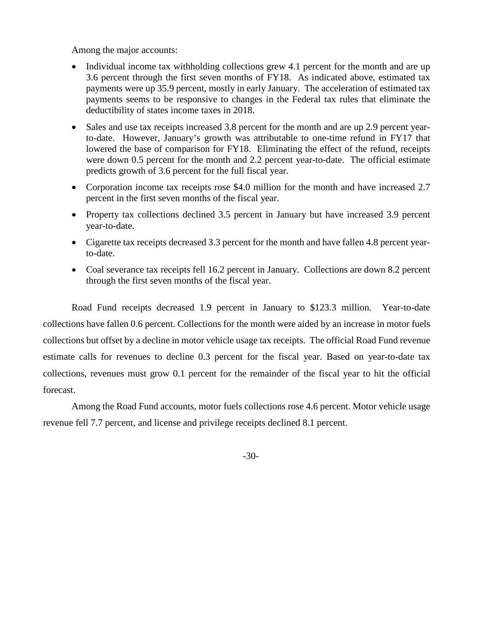Among the major accounts:

- Individual income tax withholding collections grew 4.1 percent for the month and are up 3.6 percent through the first seven months of FY18. As indicated above, estimated tax payments were up 35.9 percent, mostly in early January. The acceleration of estimated tax payments seems to be responsive to changes in the Federal tax rules that eliminate the deductibility of states income taxes in 2018.
- Sales and use tax receipts increased 3.8 percent for the month and are up 2.9 percent yearto-date. However, January's growth was attributable to one-time refund in FY17 that lowered the base of comparison for FY18. Eliminating the effect of the refund, receipts were down 0.5 percent for the month and 2.2 percent year-to-date. The official estimate predicts growth of 3.6 percent for the full fiscal year.
- Corporation income tax receipts rose \$4.0 million for the month and have increased 2.7 percent in the first seven months of the fiscal year.
- Property tax collections declined 3.5 percent in January but have increased 3.9 percent year-to-date.
- Cigarette tax receipts decreased 3.3 percent for the month and have fallen 4.8 percent yearto-date.
- Coal severance tax receipts fell 16.2 percent in January. Collections are down 8.2 percent through the first seven months of the fiscal year.

Road Fund receipts decreased 1.9 percent in January to \$123.3 million. Year-to-date collections have fallen 0.6 percent. Collections for the month were aided by an increase in motor fuels collections but offset by a decline in motor vehicle usage tax receipts. The official Road Fund revenue estimate calls for revenues to decline 0.3 percent for the fiscal year. Based on year-to-date tax collections, revenues must grow 0.1 percent for the remainder of the fiscal year to hit the official forecast.

Among the Road Fund accounts, motor fuels collections rose 4.6 percent. Motor vehicle usage revenue fell 7.7 percent, and license and privilege receipts declined 8.1 percent.

-30-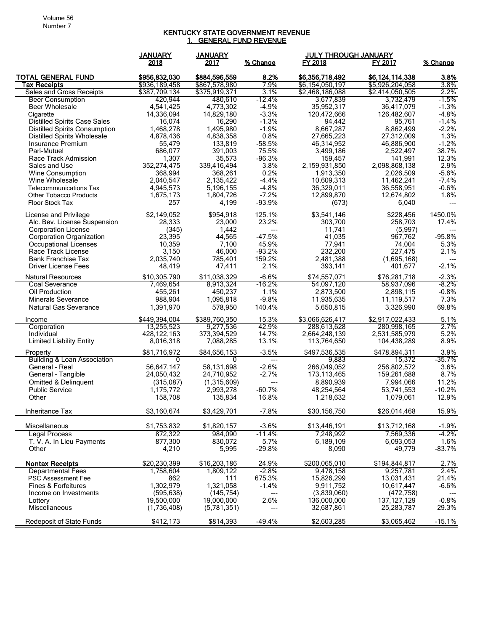## KENTUCKY STATE GOVERNMENT REVENUE <u>1. GENERAL FUND REVENUE</u>

| 2018<br>2017<br>% Change<br>FY 2018<br>FY 2017<br>% Change<br>\$884,596,559<br>8.2%<br>\$6,356,718,492<br>3.8%<br><b>TOTAL GENERAL FUND</b><br>\$956,832,030<br>\$6,124,114,338<br>\$936,189,458<br>7.9%<br>3.8%<br>Tax Receipts<br>\$867,578,980<br>\$6,154,050,197<br>\$5,926,204,058<br>\$375,919,371<br>Sales and Gross Receipts<br>\$387,709,134<br>3.1%<br>\$2,468,186,088<br>\$2,414,050,505<br>2.2%<br>-12.4%<br>$-1.5\%$<br><b>Beer Consumption</b><br>420.944<br>480,610<br>3,732,479<br>3,677,839<br>$-4.9%$<br>$-1.3%$<br>4,541,425<br>4,773,302<br><b>Beer Wholesale</b><br>35,952,317<br>36,417,079<br>$-3.3%$<br>$-4.8%$<br>14,336,094<br>14,829,180<br>120,472,666<br>126,482,607<br>Cigarette<br>16,290<br>$-1.3%$<br>$-1.4%$<br><b>Distilled Spirits Case Sales</b><br>16,074<br>94,442<br>95,761<br><b>Distilled Spirits Consumption</b><br>1,468,278<br>1,495,980<br>$-1.9%$<br>8,667,287<br>8,862,499<br>$-2.2%$<br>0.8%<br>1.3%<br><b>Distilled Spirits Wholesale</b><br>4,878,436<br>4,838,358<br>27,665,223<br>27,312,009<br>$-58.5%$<br>$-1.2%$<br>Insurance Premium<br>55,479<br>133,819<br>46,314,952<br>46,886,900<br>75.5%<br>38.7%<br>Pari-Mutuel<br>686,077<br>391,003<br>3,499,186<br>2,522,497<br>$-96.3%$<br>12.3%<br>Race Track Admission<br>1,307<br>35,573<br>159,457<br>141.991<br>3.8%<br>2,159,931,850<br>2.9%<br>352,274,475<br>339,416,494<br>2,098,868,138<br>Sales and Use<br>0.2%<br>$-5.6%$<br>368,994<br>368,261<br>1,913,350<br>2,026,509<br><b>Wine Consumption</b><br>$-4.4%$<br>$-7.4%$<br>Wine Wholesale<br>2,040,547<br>2,135,422<br>10,609,313<br>11,462,241<br>$-4.8%$<br>$-0.6%$<br>4,945,573<br>5, 196, 155<br>36,329,011<br>36,558,951<br><b>Telecommunications Tax</b><br>$-7.2%$<br>1.8%<br>1,675,173<br>12,899,870<br><b>Other Tobacco Products</b><br>1,804,726<br>12,674,802<br>Floor Stock Tax<br>257<br>4,199<br>$-93.9%$<br>6,040<br>(673)<br>125.1%<br>\$3,541,146<br>\$228,456<br>1450.0%<br>License and Privilege<br>\$2.149.052<br>\$954,918<br>23.2%<br>17.4%<br>Alc. Bev. License Suspension<br>28.333<br>23,000<br>303.700<br>258,703<br><b>Corporation License</b><br>(345)<br>1,442<br>11,741<br>(5,997)<br>23,395<br>$-47.5%$<br>41,035<br>$-95.8%$<br>Corporation Organization<br>44,565<br>967,762<br>10,359<br>45.9%<br>77,941<br>74,004<br>5.3%<br>Occupational Licenses<br>7,100<br>3,150<br>46,000<br>$-93.2%$<br>232,200<br>2.1%<br>Race Track License<br>227,475<br>159.2%<br><b>Bank Franchise Tax</b><br>2,035,740<br>785,401<br>2,481,388<br>(1,695,168)<br>---<br>$-2.1%$<br>2.1%<br><b>Driver License Fees</b><br>48,419<br>47,411<br>401,677<br>393,141<br>\$10,305,790<br>\$11,038,329<br>$-6.6%$<br>\$76,281,718<br>$-2.3%$<br><b>Natural Resources</b><br>\$74,557,071<br>$-8.2%$<br>$-16.2%$<br>Coal Severance<br>7,469,654<br>8,913,324<br>54,097,120<br>58,937,096<br>$-0.8%$<br>Oil Production<br>455,261<br>450,237<br>1.1%<br>2,873,500<br>2,898,115<br>$-9.8%$<br>988,904<br>7.3%<br><b>Minerals Severance</b><br>1,095,818<br>11,935,635<br>11,119,517<br>140.4%<br>69.8%<br><b>Natural Gas Severance</b><br>1,391,970<br>578,950<br>5,650,815<br>3,326,990<br>\$2,917,022,433<br>5.1%<br>\$449,394,004<br>\$389,760,350<br>15.3%<br>\$3,066,626,417<br>Income<br>42.9%<br>2.7%<br>Corporation<br>13,255,523<br>9,277,536<br>288,613,628<br>280,998,165<br>428, 122, 163<br>373,394,529<br>14.7%<br>2,531,585,979<br>5.2%<br>Individual<br>2,664,248,139<br>8.9%<br><b>Limited Liability Entity</b><br>13.1%<br>8,016,318<br>7,088,285<br>113,764,650<br>104,438,289<br>\$84,656,153<br>$-3.5%$<br>\$497,536,535<br>\$478,894,311<br>3.9%<br>\$81,716,972<br>Property<br>$-35.7%$<br>Building & Loan Association<br>9,883<br>15.372<br>0<br>0<br>$---$<br>$-2.6%$<br>3.6%<br>General - Real<br>56.647.147<br>58.131.698<br>266,049,052<br>256,802,572<br>8.7%<br>General - Tangible<br>24,050,432<br>24,710,952<br>$-2.7%$<br>173,113,465<br>159,261,688<br>11.2%<br>Omitted & Delinquent<br>(315,087)<br>(1,315,609)<br>8,890,939<br>7,994,066<br>$---$<br>$-60.7%$<br>$-10.2%$<br><b>Public Service</b><br>1,175,772<br>2,993,278<br>48,254,564<br>53,741,553<br>158,708<br>135,834<br>16.8%<br>1,218,632<br>1,079,061<br>12.9%<br>Other<br>\$3,160,674<br>\$3,429,701<br>$-7.8%$<br>\$30,156,750<br>\$26,014,468<br>15.9%<br>Inheritance Tax<br>\$1,753,832<br>\$1,820,157<br>$-3.6%$<br>\$13,446,191<br>\$13,712,168<br>$-1.9%$<br>Miscellaneous<br>$-4.2%$<br><b>Legal Process</b><br>872,322<br>984,090<br>$-11.4%$<br>7,248,992<br>7,569,336<br>877,300<br>5.7%<br>1.6%<br>T. V. A. In Lieu Payments<br>830,072<br>6,189,109<br>6,093,053<br>$-83.7%$<br>4,210<br>$-29.8%$<br>Other<br>5,995<br>8,090<br>49,779<br><b>Nontax Receipts</b><br>\$20,230,399<br>24.9%<br>\$200,065,010<br>\$16,203,186<br>\$194,844,817<br>2.7%<br>2.4%<br><b>Departmental Fees</b><br>$-2.8%$<br>1,758,604<br>1,809,122<br>9,478,158<br>9,257,781<br>PSC Assessment Fee<br>862<br>111<br>675.3%<br>15,826,299<br>13,031,431<br>21.4%<br>1,302,979<br>1,321,058<br>$-1.4%$<br>10,617,447<br>$-6.6%$<br>Fines & Forfeitures<br>9,911,752<br>(595, 638)<br>(145, 754)<br>(3,839,060)<br>(472, 758)<br>Income on Investments<br>--- |         | <b>JANUARY</b> | <b>JANUARY</b> |      | <b>JULY THROUGH JANUARY</b> |               |         |
|---------------------------------------------------------------------------------------------------------------------------------------------------------------------------------------------------------------------------------------------------------------------------------------------------------------------------------------------------------------------------------------------------------------------------------------------------------------------------------------------------------------------------------------------------------------------------------------------------------------------------------------------------------------------------------------------------------------------------------------------------------------------------------------------------------------------------------------------------------------------------------------------------------------------------------------------------------------------------------------------------------------------------------------------------------------------------------------------------------------------------------------------------------------------------------------------------------------------------------------------------------------------------------------------------------------------------------------------------------------------------------------------------------------------------------------------------------------------------------------------------------------------------------------------------------------------------------------------------------------------------------------------------------------------------------------------------------------------------------------------------------------------------------------------------------------------------------------------------------------------------------------------------------------------------------------------------------------------------------------------------------------------------------------------------------------------------------------------------------------------------------------------------------------------------------------------------------------------------------------------------------------------------------------------------------------------------------------------------------------------------------------------------------------------------------------------------------------------------------------------------------------------------------------------------------------------------------------------------------------------------------------------------------------------------------------------------------------------------------------------------------------------------------------------------------------------------------------------------------------------------------------------------------------------------------------------------------------------------------------------------------------------------------------------------------------------------------------------------------------------------------------------------------------------------------------------------------------------------------------------------------------------------------------------------------------------------------------------------------------------------------------------------------------------------------------------------------------------------------------------------------------------------------------------------------------------------------------------------------------------------------------------------------------------------------------------------------------------------------------------------------------------------------------------------------------------------------------------------------------------------------------------------------------------------------------------------------------------------------------------------------------------------------------------------------------------------------------------------------------------------------------------------------------------------------------------------------------------------------------------------------------------------------------------------------------------------------------------------------------------------------------------------------------------------------------------------------------------------------------------------------------------------------------------------------------------------------------------------------------------------------------------------------------------------------------------------------------------------------------------------------------------------------------------------------------------------------------------------------------------------------------------------------------------------------------------------------------------------------------------------------------------------------------------------------------------------------------------------------------------------------------------------------------------------------------------------------------------------|---------|----------------|----------------|------|-----------------------------|---------------|---------|
|                                                                                                                                                                                                                                                                                                                                                                                                                                                                                                                                                                                                                                                                                                                                                                                                                                                                                                                                                                                                                                                                                                                                                                                                                                                                                                                                                                                                                                                                                                                                                                                                                                                                                                                                                                                                                                                                                                                                                                                                                                                                                                                                                                                                                                                                                                                                                                                                                                                                                                                                                                                                                                                                                                                                                                                                                                                                                                                                                                                                                                                                                                                                                                                                                                                                                                                                                                                                                                                                                                                                                                                                                                                                                                                                                                                                                                                                                                                                                                                                                                                                                                                                                                                                                                                                                                                                                                                                                                                                                                                                                                                                                                                                                                                                                                                                                                                                                                                                                                                                                                                                                                                                                                                                                           |         |                |                |      |                             |               |         |
|                                                                                                                                                                                                                                                                                                                                                                                                                                                                                                                                                                                                                                                                                                                                                                                                                                                                                                                                                                                                                                                                                                                                                                                                                                                                                                                                                                                                                                                                                                                                                                                                                                                                                                                                                                                                                                                                                                                                                                                                                                                                                                                                                                                                                                                                                                                                                                                                                                                                                                                                                                                                                                                                                                                                                                                                                                                                                                                                                                                                                                                                                                                                                                                                                                                                                                                                                                                                                                                                                                                                                                                                                                                                                                                                                                                                                                                                                                                                                                                                                                                                                                                                                                                                                                                                                                                                                                                                                                                                                                                                                                                                                                                                                                                                                                                                                                                                                                                                                                                                                                                                                                                                                                                                                           |         |                |                |      |                             |               |         |
|                                                                                                                                                                                                                                                                                                                                                                                                                                                                                                                                                                                                                                                                                                                                                                                                                                                                                                                                                                                                                                                                                                                                                                                                                                                                                                                                                                                                                                                                                                                                                                                                                                                                                                                                                                                                                                                                                                                                                                                                                                                                                                                                                                                                                                                                                                                                                                                                                                                                                                                                                                                                                                                                                                                                                                                                                                                                                                                                                                                                                                                                                                                                                                                                                                                                                                                                                                                                                                                                                                                                                                                                                                                                                                                                                                                                                                                                                                                                                                                                                                                                                                                                                                                                                                                                                                                                                                                                                                                                                                                                                                                                                                                                                                                                                                                                                                                                                                                                                                                                                                                                                                                                                                                                                           |         |                |                |      |                             |               |         |
|                                                                                                                                                                                                                                                                                                                                                                                                                                                                                                                                                                                                                                                                                                                                                                                                                                                                                                                                                                                                                                                                                                                                                                                                                                                                                                                                                                                                                                                                                                                                                                                                                                                                                                                                                                                                                                                                                                                                                                                                                                                                                                                                                                                                                                                                                                                                                                                                                                                                                                                                                                                                                                                                                                                                                                                                                                                                                                                                                                                                                                                                                                                                                                                                                                                                                                                                                                                                                                                                                                                                                                                                                                                                                                                                                                                                                                                                                                                                                                                                                                                                                                                                                                                                                                                                                                                                                                                                                                                                                                                                                                                                                                                                                                                                                                                                                                                                                                                                                                                                                                                                                                                                                                                                                           |         |                |                |      |                             |               |         |
|                                                                                                                                                                                                                                                                                                                                                                                                                                                                                                                                                                                                                                                                                                                                                                                                                                                                                                                                                                                                                                                                                                                                                                                                                                                                                                                                                                                                                                                                                                                                                                                                                                                                                                                                                                                                                                                                                                                                                                                                                                                                                                                                                                                                                                                                                                                                                                                                                                                                                                                                                                                                                                                                                                                                                                                                                                                                                                                                                                                                                                                                                                                                                                                                                                                                                                                                                                                                                                                                                                                                                                                                                                                                                                                                                                                                                                                                                                                                                                                                                                                                                                                                                                                                                                                                                                                                                                                                                                                                                                                                                                                                                                                                                                                                                                                                                                                                                                                                                                                                                                                                                                                                                                                                                           |         |                |                |      |                             |               |         |
|                                                                                                                                                                                                                                                                                                                                                                                                                                                                                                                                                                                                                                                                                                                                                                                                                                                                                                                                                                                                                                                                                                                                                                                                                                                                                                                                                                                                                                                                                                                                                                                                                                                                                                                                                                                                                                                                                                                                                                                                                                                                                                                                                                                                                                                                                                                                                                                                                                                                                                                                                                                                                                                                                                                                                                                                                                                                                                                                                                                                                                                                                                                                                                                                                                                                                                                                                                                                                                                                                                                                                                                                                                                                                                                                                                                                                                                                                                                                                                                                                                                                                                                                                                                                                                                                                                                                                                                                                                                                                                                                                                                                                                                                                                                                                                                                                                                                                                                                                                                                                                                                                                                                                                                                                           |         |                |                |      |                             |               |         |
|                                                                                                                                                                                                                                                                                                                                                                                                                                                                                                                                                                                                                                                                                                                                                                                                                                                                                                                                                                                                                                                                                                                                                                                                                                                                                                                                                                                                                                                                                                                                                                                                                                                                                                                                                                                                                                                                                                                                                                                                                                                                                                                                                                                                                                                                                                                                                                                                                                                                                                                                                                                                                                                                                                                                                                                                                                                                                                                                                                                                                                                                                                                                                                                                                                                                                                                                                                                                                                                                                                                                                                                                                                                                                                                                                                                                                                                                                                                                                                                                                                                                                                                                                                                                                                                                                                                                                                                                                                                                                                                                                                                                                                                                                                                                                                                                                                                                                                                                                                                                                                                                                                                                                                                                                           |         |                |                |      |                             |               |         |
|                                                                                                                                                                                                                                                                                                                                                                                                                                                                                                                                                                                                                                                                                                                                                                                                                                                                                                                                                                                                                                                                                                                                                                                                                                                                                                                                                                                                                                                                                                                                                                                                                                                                                                                                                                                                                                                                                                                                                                                                                                                                                                                                                                                                                                                                                                                                                                                                                                                                                                                                                                                                                                                                                                                                                                                                                                                                                                                                                                                                                                                                                                                                                                                                                                                                                                                                                                                                                                                                                                                                                                                                                                                                                                                                                                                                                                                                                                                                                                                                                                                                                                                                                                                                                                                                                                                                                                                                                                                                                                                                                                                                                                                                                                                                                                                                                                                                                                                                                                                                                                                                                                                                                                                                                           |         |                |                |      |                             |               |         |
|                                                                                                                                                                                                                                                                                                                                                                                                                                                                                                                                                                                                                                                                                                                                                                                                                                                                                                                                                                                                                                                                                                                                                                                                                                                                                                                                                                                                                                                                                                                                                                                                                                                                                                                                                                                                                                                                                                                                                                                                                                                                                                                                                                                                                                                                                                                                                                                                                                                                                                                                                                                                                                                                                                                                                                                                                                                                                                                                                                                                                                                                                                                                                                                                                                                                                                                                                                                                                                                                                                                                                                                                                                                                                                                                                                                                                                                                                                                                                                                                                                                                                                                                                                                                                                                                                                                                                                                                                                                                                                                                                                                                                                                                                                                                                                                                                                                                                                                                                                                                                                                                                                                                                                                                                           |         |                |                |      |                             |               |         |
|                                                                                                                                                                                                                                                                                                                                                                                                                                                                                                                                                                                                                                                                                                                                                                                                                                                                                                                                                                                                                                                                                                                                                                                                                                                                                                                                                                                                                                                                                                                                                                                                                                                                                                                                                                                                                                                                                                                                                                                                                                                                                                                                                                                                                                                                                                                                                                                                                                                                                                                                                                                                                                                                                                                                                                                                                                                                                                                                                                                                                                                                                                                                                                                                                                                                                                                                                                                                                                                                                                                                                                                                                                                                                                                                                                                                                                                                                                                                                                                                                                                                                                                                                                                                                                                                                                                                                                                                                                                                                                                                                                                                                                                                                                                                                                                                                                                                                                                                                                                                                                                                                                                                                                                                                           |         |                |                |      |                             |               |         |
|                                                                                                                                                                                                                                                                                                                                                                                                                                                                                                                                                                                                                                                                                                                                                                                                                                                                                                                                                                                                                                                                                                                                                                                                                                                                                                                                                                                                                                                                                                                                                                                                                                                                                                                                                                                                                                                                                                                                                                                                                                                                                                                                                                                                                                                                                                                                                                                                                                                                                                                                                                                                                                                                                                                                                                                                                                                                                                                                                                                                                                                                                                                                                                                                                                                                                                                                                                                                                                                                                                                                                                                                                                                                                                                                                                                                                                                                                                                                                                                                                                                                                                                                                                                                                                                                                                                                                                                                                                                                                                                                                                                                                                                                                                                                                                                                                                                                                                                                                                                                                                                                                                                                                                                                                           |         |                |                |      |                             |               |         |
|                                                                                                                                                                                                                                                                                                                                                                                                                                                                                                                                                                                                                                                                                                                                                                                                                                                                                                                                                                                                                                                                                                                                                                                                                                                                                                                                                                                                                                                                                                                                                                                                                                                                                                                                                                                                                                                                                                                                                                                                                                                                                                                                                                                                                                                                                                                                                                                                                                                                                                                                                                                                                                                                                                                                                                                                                                                                                                                                                                                                                                                                                                                                                                                                                                                                                                                                                                                                                                                                                                                                                                                                                                                                                                                                                                                                                                                                                                                                                                                                                                                                                                                                                                                                                                                                                                                                                                                                                                                                                                                                                                                                                                                                                                                                                                                                                                                                                                                                                                                                                                                                                                                                                                                                                           |         |                |                |      |                             |               |         |
|                                                                                                                                                                                                                                                                                                                                                                                                                                                                                                                                                                                                                                                                                                                                                                                                                                                                                                                                                                                                                                                                                                                                                                                                                                                                                                                                                                                                                                                                                                                                                                                                                                                                                                                                                                                                                                                                                                                                                                                                                                                                                                                                                                                                                                                                                                                                                                                                                                                                                                                                                                                                                                                                                                                                                                                                                                                                                                                                                                                                                                                                                                                                                                                                                                                                                                                                                                                                                                                                                                                                                                                                                                                                                                                                                                                                                                                                                                                                                                                                                                                                                                                                                                                                                                                                                                                                                                                                                                                                                                                                                                                                                                                                                                                                                                                                                                                                                                                                                                                                                                                                                                                                                                                                                           |         |                |                |      |                             |               |         |
|                                                                                                                                                                                                                                                                                                                                                                                                                                                                                                                                                                                                                                                                                                                                                                                                                                                                                                                                                                                                                                                                                                                                                                                                                                                                                                                                                                                                                                                                                                                                                                                                                                                                                                                                                                                                                                                                                                                                                                                                                                                                                                                                                                                                                                                                                                                                                                                                                                                                                                                                                                                                                                                                                                                                                                                                                                                                                                                                                                                                                                                                                                                                                                                                                                                                                                                                                                                                                                                                                                                                                                                                                                                                                                                                                                                                                                                                                                                                                                                                                                                                                                                                                                                                                                                                                                                                                                                                                                                                                                                                                                                                                                                                                                                                                                                                                                                                                                                                                                                                                                                                                                                                                                                                                           |         |                |                |      |                             |               |         |
|                                                                                                                                                                                                                                                                                                                                                                                                                                                                                                                                                                                                                                                                                                                                                                                                                                                                                                                                                                                                                                                                                                                                                                                                                                                                                                                                                                                                                                                                                                                                                                                                                                                                                                                                                                                                                                                                                                                                                                                                                                                                                                                                                                                                                                                                                                                                                                                                                                                                                                                                                                                                                                                                                                                                                                                                                                                                                                                                                                                                                                                                                                                                                                                                                                                                                                                                                                                                                                                                                                                                                                                                                                                                                                                                                                                                                                                                                                                                                                                                                                                                                                                                                                                                                                                                                                                                                                                                                                                                                                                                                                                                                                                                                                                                                                                                                                                                                                                                                                                                                                                                                                                                                                                                                           |         |                |                |      |                             |               |         |
|                                                                                                                                                                                                                                                                                                                                                                                                                                                                                                                                                                                                                                                                                                                                                                                                                                                                                                                                                                                                                                                                                                                                                                                                                                                                                                                                                                                                                                                                                                                                                                                                                                                                                                                                                                                                                                                                                                                                                                                                                                                                                                                                                                                                                                                                                                                                                                                                                                                                                                                                                                                                                                                                                                                                                                                                                                                                                                                                                                                                                                                                                                                                                                                                                                                                                                                                                                                                                                                                                                                                                                                                                                                                                                                                                                                                                                                                                                                                                                                                                                                                                                                                                                                                                                                                                                                                                                                                                                                                                                                                                                                                                                                                                                                                                                                                                                                                                                                                                                                                                                                                                                                                                                                                                           |         |                |                |      |                             |               |         |
|                                                                                                                                                                                                                                                                                                                                                                                                                                                                                                                                                                                                                                                                                                                                                                                                                                                                                                                                                                                                                                                                                                                                                                                                                                                                                                                                                                                                                                                                                                                                                                                                                                                                                                                                                                                                                                                                                                                                                                                                                                                                                                                                                                                                                                                                                                                                                                                                                                                                                                                                                                                                                                                                                                                                                                                                                                                                                                                                                                                                                                                                                                                                                                                                                                                                                                                                                                                                                                                                                                                                                                                                                                                                                                                                                                                                                                                                                                                                                                                                                                                                                                                                                                                                                                                                                                                                                                                                                                                                                                                                                                                                                                                                                                                                                                                                                                                                                                                                                                                                                                                                                                                                                                                                                           |         |                |                |      |                             |               |         |
|                                                                                                                                                                                                                                                                                                                                                                                                                                                                                                                                                                                                                                                                                                                                                                                                                                                                                                                                                                                                                                                                                                                                                                                                                                                                                                                                                                                                                                                                                                                                                                                                                                                                                                                                                                                                                                                                                                                                                                                                                                                                                                                                                                                                                                                                                                                                                                                                                                                                                                                                                                                                                                                                                                                                                                                                                                                                                                                                                                                                                                                                                                                                                                                                                                                                                                                                                                                                                                                                                                                                                                                                                                                                                                                                                                                                                                                                                                                                                                                                                                                                                                                                                                                                                                                                                                                                                                                                                                                                                                                                                                                                                                                                                                                                                                                                                                                                                                                                                                                                                                                                                                                                                                                                                           |         |                |                |      |                             |               |         |
|                                                                                                                                                                                                                                                                                                                                                                                                                                                                                                                                                                                                                                                                                                                                                                                                                                                                                                                                                                                                                                                                                                                                                                                                                                                                                                                                                                                                                                                                                                                                                                                                                                                                                                                                                                                                                                                                                                                                                                                                                                                                                                                                                                                                                                                                                                                                                                                                                                                                                                                                                                                                                                                                                                                                                                                                                                                                                                                                                                                                                                                                                                                                                                                                                                                                                                                                                                                                                                                                                                                                                                                                                                                                                                                                                                                                                                                                                                                                                                                                                                                                                                                                                                                                                                                                                                                                                                                                                                                                                                                                                                                                                                                                                                                                                                                                                                                                                                                                                                                                                                                                                                                                                                                                                           |         |                |                |      |                             |               |         |
|                                                                                                                                                                                                                                                                                                                                                                                                                                                                                                                                                                                                                                                                                                                                                                                                                                                                                                                                                                                                                                                                                                                                                                                                                                                                                                                                                                                                                                                                                                                                                                                                                                                                                                                                                                                                                                                                                                                                                                                                                                                                                                                                                                                                                                                                                                                                                                                                                                                                                                                                                                                                                                                                                                                                                                                                                                                                                                                                                                                                                                                                                                                                                                                                                                                                                                                                                                                                                                                                                                                                                                                                                                                                                                                                                                                                                                                                                                                                                                                                                                                                                                                                                                                                                                                                                                                                                                                                                                                                                                                                                                                                                                                                                                                                                                                                                                                                                                                                                                                                                                                                                                                                                                                                                           |         |                |                |      |                             |               |         |
|                                                                                                                                                                                                                                                                                                                                                                                                                                                                                                                                                                                                                                                                                                                                                                                                                                                                                                                                                                                                                                                                                                                                                                                                                                                                                                                                                                                                                                                                                                                                                                                                                                                                                                                                                                                                                                                                                                                                                                                                                                                                                                                                                                                                                                                                                                                                                                                                                                                                                                                                                                                                                                                                                                                                                                                                                                                                                                                                                                                                                                                                                                                                                                                                                                                                                                                                                                                                                                                                                                                                                                                                                                                                                                                                                                                                                                                                                                                                                                                                                                                                                                                                                                                                                                                                                                                                                                                                                                                                                                                                                                                                                                                                                                                                                                                                                                                                                                                                                                                                                                                                                                                                                                                                                           |         |                |                |      |                             |               |         |
|                                                                                                                                                                                                                                                                                                                                                                                                                                                                                                                                                                                                                                                                                                                                                                                                                                                                                                                                                                                                                                                                                                                                                                                                                                                                                                                                                                                                                                                                                                                                                                                                                                                                                                                                                                                                                                                                                                                                                                                                                                                                                                                                                                                                                                                                                                                                                                                                                                                                                                                                                                                                                                                                                                                                                                                                                                                                                                                                                                                                                                                                                                                                                                                                                                                                                                                                                                                                                                                                                                                                                                                                                                                                                                                                                                                                                                                                                                                                                                                                                                                                                                                                                                                                                                                                                                                                                                                                                                                                                                                                                                                                                                                                                                                                                                                                                                                                                                                                                                                                                                                                                                                                                                                                                           |         |                |                |      |                             |               |         |
|                                                                                                                                                                                                                                                                                                                                                                                                                                                                                                                                                                                                                                                                                                                                                                                                                                                                                                                                                                                                                                                                                                                                                                                                                                                                                                                                                                                                                                                                                                                                                                                                                                                                                                                                                                                                                                                                                                                                                                                                                                                                                                                                                                                                                                                                                                                                                                                                                                                                                                                                                                                                                                                                                                                                                                                                                                                                                                                                                                                                                                                                                                                                                                                                                                                                                                                                                                                                                                                                                                                                                                                                                                                                                                                                                                                                                                                                                                                                                                                                                                                                                                                                                                                                                                                                                                                                                                                                                                                                                                                                                                                                                                                                                                                                                                                                                                                                                                                                                                                                                                                                                                                                                                                                                           |         |                |                |      |                             |               |         |
|                                                                                                                                                                                                                                                                                                                                                                                                                                                                                                                                                                                                                                                                                                                                                                                                                                                                                                                                                                                                                                                                                                                                                                                                                                                                                                                                                                                                                                                                                                                                                                                                                                                                                                                                                                                                                                                                                                                                                                                                                                                                                                                                                                                                                                                                                                                                                                                                                                                                                                                                                                                                                                                                                                                                                                                                                                                                                                                                                                                                                                                                                                                                                                                                                                                                                                                                                                                                                                                                                                                                                                                                                                                                                                                                                                                                                                                                                                                                                                                                                                                                                                                                                                                                                                                                                                                                                                                                                                                                                                                                                                                                                                                                                                                                                                                                                                                                                                                                                                                                                                                                                                                                                                                                                           |         |                |                |      |                             |               |         |
|                                                                                                                                                                                                                                                                                                                                                                                                                                                                                                                                                                                                                                                                                                                                                                                                                                                                                                                                                                                                                                                                                                                                                                                                                                                                                                                                                                                                                                                                                                                                                                                                                                                                                                                                                                                                                                                                                                                                                                                                                                                                                                                                                                                                                                                                                                                                                                                                                                                                                                                                                                                                                                                                                                                                                                                                                                                                                                                                                                                                                                                                                                                                                                                                                                                                                                                                                                                                                                                                                                                                                                                                                                                                                                                                                                                                                                                                                                                                                                                                                                                                                                                                                                                                                                                                                                                                                                                                                                                                                                                                                                                                                                                                                                                                                                                                                                                                                                                                                                                                                                                                                                                                                                                                                           |         |                |                |      |                             |               |         |
|                                                                                                                                                                                                                                                                                                                                                                                                                                                                                                                                                                                                                                                                                                                                                                                                                                                                                                                                                                                                                                                                                                                                                                                                                                                                                                                                                                                                                                                                                                                                                                                                                                                                                                                                                                                                                                                                                                                                                                                                                                                                                                                                                                                                                                                                                                                                                                                                                                                                                                                                                                                                                                                                                                                                                                                                                                                                                                                                                                                                                                                                                                                                                                                                                                                                                                                                                                                                                                                                                                                                                                                                                                                                                                                                                                                                                                                                                                                                                                                                                                                                                                                                                                                                                                                                                                                                                                                                                                                                                                                                                                                                                                                                                                                                                                                                                                                                                                                                                                                                                                                                                                                                                                                                                           |         |                |                |      |                             |               |         |
|                                                                                                                                                                                                                                                                                                                                                                                                                                                                                                                                                                                                                                                                                                                                                                                                                                                                                                                                                                                                                                                                                                                                                                                                                                                                                                                                                                                                                                                                                                                                                                                                                                                                                                                                                                                                                                                                                                                                                                                                                                                                                                                                                                                                                                                                                                                                                                                                                                                                                                                                                                                                                                                                                                                                                                                                                                                                                                                                                                                                                                                                                                                                                                                                                                                                                                                                                                                                                                                                                                                                                                                                                                                                                                                                                                                                                                                                                                                                                                                                                                                                                                                                                                                                                                                                                                                                                                                                                                                                                                                                                                                                                                                                                                                                                                                                                                                                                                                                                                                                                                                                                                                                                                                                                           |         |                |                |      |                             |               |         |
|                                                                                                                                                                                                                                                                                                                                                                                                                                                                                                                                                                                                                                                                                                                                                                                                                                                                                                                                                                                                                                                                                                                                                                                                                                                                                                                                                                                                                                                                                                                                                                                                                                                                                                                                                                                                                                                                                                                                                                                                                                                                                                                                                                                                                                                                                                                                                                                                                                                                                                                                                                                                                                                                                                                                                                                                                                                                                                                                                                                                                                                                                                                                                                                                                                                                                                                                                                                                                                                                                                                                                                                                                                                                                                                                                                                                                                                                                                                                                                                                                                                                                                                                                                                                                                                                                                                                                                                                                                                                                                                                                                                                                                                                                                                                                                                                                                                                                                                                                                                                                                                                                                                                                                                                                           |         |                |                |      |                             |               |         |
|                                                                                                                                                                                                                                                                                                                                                                                                                                                                                                                                                                                                                                                                                                                                                                                                                                                                                                                                                                                                                                                                                                                                                                                                                                                                                                                                                                                                                                                                                                                                                                                                                                                                                                                                                                                                                                                                                                                                                                                                                                                                                                                                                                                                                                                                                                                                                                                                                                                                                                                                                                                                                                                                                                                                                                                                                                                                                                                                                                                                                                                                                                                                                                                                                                                                                                                                                                                                                                                                                                                                                                                                                                                                                                                                                                                                                                                                                                                                                                                                                                                                                                                                                                                                                                                                                                                                                                                                                                                                                                                                                                                                                                                                                                                                                                                                                                                                                                                                                                                                                                                                                                                                                                                                                           |         |                |                |      |                             |               |         |
|                                                                                                                                                                                                                                                                                                                                                                                                                                                                                                                                                                                                                                                                                                                                                                                                                                                                                                                                                                                                                                                                                                                                                                                                                                                                                                                                                                                                                                                                                                                                                                                                                                                                                                                                                                                                                                                                                                                                                                                                                                                                                                                                                                                                                                                                                                                                                                                                                                                                                                                                                                                                                                                                                                                                                                                                                                                                                                                                                                                                                                                                                                                                                                                                                                                                                                                                                                                                                                                                                                                                                                                                                                                                                                                                                                                                                                                                                                                                                                                                                                                                                                                                                                                                                                                                                                                                                                                                                                                                                                                                                                                                                                                                                                                                                                                                                                                                                                                                                                                                                                                                                                                                                                                                                           |         |                |                |      |                             |               |         |
|                                                                                                                                                                                                                                                                                                                                                                                                                                                                                                                                                                                                                                                                                                                                                                                                                                                                                                                                                                                                                                                                                                                                                                                                                                                                                                                                                                                                                                                                                                                                                                                                                                                                                                                                                                                                                                                                                                                                                                                                                                                                                                                                                                                                                                                                                                                                                                                                                                                                                                                                                                                                                                                                                                                                                                                                                                                                                                                                                                                                                                                                                                                                                                                                                                                                                                                                                                                                                                                                                                                                                                                                                                                                                                                                                                                                                                                                                                                                                                                                                                                                                                                                                                                                                                                                                                                                                                                                                                                                                                                                                                                                                                                                                                                                                                                                                                                                                                                                                                                                                                                                                                                                                                                                                           |         |                |                |      |                             |               |         |
|                                                                                                                                                                                                                                                                                                                                                                                                                                                                                                                                                                                                                                                                                                                                                                                                                                                                                                                                                                                                                                                                                                                                                                                                                                                                                                                                                                                                                                                                                                                                                                                                                                                                                                                                                                                                                                                                                                                                                                                                                                                                                                                                                                                                                                                                                                                                                                                                                                                                                                                                                                                                                                                                                                                                                                                                                                                                                                                                                                                                                                                                                                                                                                                                                                                                                                                                                                                                                                                                                                                                                                                                                                                                                                                                                                                                                                                                                                                                                                                                                                                                                                                                                                                                                                                                                                                                                                                                                                                                                                                                                                                                                                                                                                                                                                                                                                                                                                                                                                                                                                                                                                                                                                                                                           |         |                |                |      |                             |               |         |
|                                                                                                                                                                                                                                                                                                                                                                                                                                                                                                                                                                                                                                                                                                                                                                                                                                                                                                                                                                                                                                                                                                                                                                                                                                                                                                                                                                                                                                                                                                                                                                                                                                                                                                                                                                                                                                                                                                                                                                                                                                                                                                                                                                                                                                                                                                                                                                                                                                                                                                                                                                                                                                                                                                                                                                                                                                                                                                                                                                                                                                                                                                                                                                                                                                                                                                                                                                                                                                                                                                                                                                                                                                                                                                                                                                                                                                                                                                                                                                                                                                                                                                                                                                                                                                                                                                                                                                                                                                                                                                                                                                                                                                                                                                                                                                                                                                                                                                                                                                                                                                                                                                                                                                                                                           |         |                |                |      |                             |               |         |
|                                                                                                                                                                                                                                                                                                                                                                                                                                                                                                                                                                                                                                                                                                                                                                                                                                                                                                                                                                                                                                                                                                                                                                                                                                                                                                                                                                                                                                                                                                                                                                                                                                                                                                                                                                                                                                                                                                                                                                                                                                                                                                                                                                                                                                                                                                                                                                                                                                                                                                                                                                                                                                                                                                                                                                                                                                                                                                                                                                                                                                                                                                                                                                                                                                                                                                                                                                                                                                                                                                                                                                                                                                                                                                                                                                                                                                                                                                                                                                                                                                                                                                                                                                                                                                                                                                                                                                                                                                                                                                                                                                                                                                                                                                                                                                                                                                                                                                                                                                                                                                                                                                                                                                                                                           |         |                |                |      |                             |               |         |
|                                                                                                                                                                                                                                                                                                                                                                                                                                                                                                                                                                                                                                                                                                                                                                                                                                                                                                                                                                                                                                                                                                                                                                                                                                                                                                                                                                                                                                                                                                                                                                                                                                                                                                                                                                                                                                                                                                                                                                                                                                                                                                                                                                                                                                                                                                                                                                                                                                                                                                                                                                                                                                                                                                                                                                                                                                                                                                                                                                                                                                                                                                                                                                                                                                                                                                                                                                                                                                                                                                                                                                                                                                                                                                                                                                                                                                                                                                                                                                                                                                                                                                                                                                                                                                                                                                                                                                                                                                                                                                                                                                                                                                                                                                                                                                                                                                                                                                                                                                                                                                                                                                                                                                                                                           |         |                |                |      |                             |               |         |
|                                                                                                                                                                                                                                                                                                                                                                                                                                                                                                                                                                                                                                                                                                                                                                                                                                                                                                                                                                                                                                                                                                                                                                                                                                                                                                                                                                                                                                                                                                                                                                                                                                                                                                                                                                                                                                                                                                                                                                                                                                                                                                                                                                                                                                                                                                                                                                                                                                                                                                                                                                                                                                                                                                                                                                                                                                                                                                                                                                                                                                                                                                                                                                                                                                                                                                                                                                                                                                                                                                                                                                                                                                                                                                                                                                                                                                                                                                                                                                                                                                                                                                                                                                                                                                                                                                                                                                                                                                                                                                                                                                                                                                                                                                                                                                                                                                                                                                                                                                                                                                                                                                                                                                                                                           |         |                |                |      |                             |               |         |
|                                                                                                                                                                                                                                                                                                                                                                                                                                                                                                                                                                                                                                                                                                                                                                                                                                                                                                                                                                                                                                                                                                                                                                                                                                                                                                                                                                                                                                                                                                                                                                                                                                                                                                                                                                                                                                                                                                                                                                                                                                                                                                                                                                                                                                                                                                                                                                                                                                                                                                                                                                                                                                                                                                                                                                                                                                                                                                                                                                                                                                                                                                                                                                                                                                                                                                                                                                                                                                                                                                                                                                                                                                                                                                                                                                                                                                                                                                                                                                                                                                                                                                                                                                                                                                                                                                                                                                                                                                                                                                                                                                                                                                                                                                                                                                                                                                                                                                                                                                                                                                                                                                                                                                                                                           |         |                |                |      |                             |               |         |
|                                                                                                                                                                                                                                                                                                                                                                                                                                                                                                                                                                                                                                                                                                                                                                                                                                                                                                                                                                                                                                                                                                                                                                                                                                                                                                                                                                                                                                                                                                                                                                                                                                                                                                                                                                                                                                                                                                                                                                                                                                                                                                                                                                                                                                                                                                                                                                                                                                                                                                                                                                                                                                                                                                                                                                                                                                                                                                                                                                                                                                                                                                                                                                                                                                                                                                                                                                                                                                                                                                                                                                                                                                                                                                                                                                                                                                                                                                                                                                                                                                                                                                                                                                                                                                                                                                                                                                                                                                                                                                                                                                                                                                                                                                                                                                                                                                                                                                                                                                                                                                                                                                                                                                                                                           |         |                |                |      |                             |               |         |
|                                                                                                                                                                                                                                                                                                                                                                                                                                                                                                                                                                                                                                                                                                                                                                                                                                                                                                                                                                                                                                                                                                                                                                                                                                                                                                                                                                                                                                                                                                                                                                                                                                                                                                                                                                                                                                                                                                                                                                                                                                                                                                                                                                                                                                                                                                                                                                                                                                                                                                                                                                                                                                                                                                                                                                                                                                                                                                                                                                                                                                                                                                                                                                                                                                                                                                                                                                                                                                                                                                                                                                                                                                                                                                                                                                                                                                                                                                                                                                                                                                                                                                                                                                                                                                                                                                                                                                                                                                                                                                                                                                                                                                                                                                                                                                                                                                                                                                                                                                                                                                                                                                                                                                                                                           |         |                |                |      |                             |               |         |
|                                                                                                                                                                                                                                                                                                                                                                                                                                                                                                                                                                                                                                                                                                                                                                                                                                                                                                                                                                                                                                                                                                                                                                                                                                                                                                                                                                                                                                                                                                                                                                                                                                                                                                                                                                                                                                                                                                                                                                                                                                                                                                                                                                                                                                                                                                                                                                                                                                                                                                                                                                                                                                                                                                                                                                                                                                                                                                                                                                                                                                                                                                                                                                                                                                                                                                                                                                                                                                                                                                                                                                                                                                                                                                                                                                                                                                                                                                                                                                                                                                                                                                                                                                                                                                                                                                                                                                                                                                                                                                                                                                                                                                                                                                                                                                                                                                                                                                                                                                                                                                                                                                                                                                                                                           |         |                |                |      |                             |               |         |
|                                                                                                                                                                                                                                                                                                                                                                                                                                                                                                                                                                                                                                                                                                                                                                                                                                                                                                                                                                                                                                                                                                                                                                                                                                                                                                                                                                                                                                                                                                                                                                                                                                                                                                                                                                                                                                                                                                                                                                                                                                                                                                                                                                                                                                                                                                                                                                                                                                                                                                                                                                                                                                                                                                                                                                                                                                                                                                                                                                                                                                                                                                                                                                                                                                                                                                                                                                                                                                                                                                                                                                                                                                                                                                                                                                                                                                                                                                                                                                                                                                                                                                                                                                                                                                                                                                                                                                                                                                                                                                                                                                                                                                                                                                                                                                                                                                                                                                                                                                                                                                                                                                                                                                                                                           |         |                |                |      |                             |               |         |
|                                                                                                                                                                                                                                                                                                                                                                                                                                                                                                                                                                                                                                                                                                                                                                                                                                                                                                                                                                                                                                                                                                                                                                                                                                                                                                                                                                                                                                                                                                                                                                                                                                                                                                                                                                                                                                                                                                                                                                                                                                                                                                                                                                                                                                                                                                                                                                                                                                                                                                                                                                                                                                                                                                                                                                                                                                                                                                                                                                                                                                                                                                                                                                                                                                                                                                                                                                                                                                                                                                                                                                                                                                                                                                                                                                                                                                                                                                                                                                                                                                                                                                                                                                                                                                                                                                                                                                                                                                                                                                                                                                                                                                                                                                                                                                                                                                                                                                                                                                                                                                                                                                                                                                                                                           |         |                |                |      |                             |               |         |
|                                                                                                                                                                                                                                                                                                                                                                                                                                                                                                                                                                                                                                                                                                                                                                                                                                                                                                                                                                                                                                                                                                                                                                                                                                                                                                                                                                                                                                                                                                                                                                                                                                                                                                                                                                                                                                                                                                                                                                                                                                                                                                                                                                                                                                                                                                                                                                                                                                                                                                                                                                                                                                                                                                                                                                                                                                                                                                                                                                                                                                                                                                                                                                                                                                                                                                                                                                                                                                                                                                                                                                                                                                                                                                                                                                                                                                                                                                                                                                                                                                                                                                                                                                                                                                                                                                                                                                                                                                                                                                                                                                                                                                                                                                                                                                                                                                                                                                                                                                                                                                                                                                                                                                                                                           |         |                |                |      |                             |               |         |
|                                                                                                                                                                                                                                                                                                                                                                                                                                                                                                                                                                                                                                                                                                                                                                                                                                                                                                                                                                                                                                                                                                                                                                                                                                                                                                                                                                                                                                                                                                                                                                                                                                                                                                                                                                                                                                                                                                                                                                                                                                                                                                                                                                                                                                                                                                                                                                                                                                                                                                                                                                                                                                                                                                                                                                                                                                                                                                                                                                                                                                                                                                                                                                                                                                                                                                                                                                                                                                                                                                                                                                                                                                                                                                                                                                                                                                                                                                                                                                                                                                                                                                                                                                                                                                                                                                                                                                                                                                                                                                                                                                                                                                                                                                                                                                                                                                                                                                                                                                                                                                                                                                                                                                                                                           |         |                |                |      |                             |               |         |
|                                                                                                                                                                                                                                                                                                                                                                                                                                                                                                                                                                                                                                                                                                                                                                                                                                                                                                                                                                                                                                                                                                                                                                                                                                                                                                                                                                                                                                                                                                                                                                                                                                                                                                                                                                                                                                                                                                                                                                                                                                                                                                                                                                                                                                                                                                                                                                                                                                                                                                                                                                                                                                                                                                                                                                                                                                                                                                                                                                                                                                                                                                                                                                                                                                                                                                                                                                                                                                                                                                                                                                                                                                                                                                                                                                                                                                                                                                                                                                                                                                                                                                                                                                                                                                                                                                                                                                                                                                                                                                                                                                                                                                                                                                                                                                                                                                                                                                                                                                                                                                                                                                                                                                                                                           |         |                |                |      |                             |               |         |
|                                                                                                                                                                                                                                                                                                                                                                                                                                                                                                                                                                                                                                                                                                                                                                                                                                                                                                                                                                                                                                                                                                                                                                                                                                                                                                                                                                                                                                                                                                                                                                                                                                                                                                                                                                                                                                                                                                                                                                                                                                                                                                                                                                                                                                                                                                                                                                                                                                                                                                                                                                                                                                                                                                                                                                                                                                                                                                                                                                                                                                                                                                                                                                                                                                                                                                                                                                                                                                                                                                                                                                                                                                                                                                                                                                                                                                                                                                                                                                                                                                                                                                                                                                                                                                                                                                                                                                                                                                                                                                                                                                                                                                                                                                                                                                                                                                                                                                                                                                                                                                                                                                                                                                                                                           |         |                |                |      |                             |               |         |
|                                                                                                                                                                                                                                                                                                                                                                                                                                                                                                                                                                                                                                                                                                                                                                                                                                                                                                                                                                                                                                                                                                                                                                                                                                                                                                                                                                                                                                                                                                                                                                                                                                                                                                                                                                                                                                                                                                                                                                                                                                                                                                                                                                                                                                                                                                                                                                                                                                                                                                                                                                                                                                                                                                                                                                                                                                                                                                                                                                                                                                                                                                                                                                                                                                                                                                                                                                                                                                                                                                                                                                                                                                                                                                                                                                                                                                                                                                                                                                                                                                                                                                                                                                                                                                                                                                                                                                                                                                                                                                                                                                                                                                                                                                                                                                                                                                                                                                                                                                                                                                                                                                                                                                                                                           |         |                |                |      |                             |               |         |
|                                                                                                                                                                                                                                                                                                                                                                                                                                                                                                                                                                                                                                                                                                                                                                                                                                                                                                                                                                                                                                                                                                                                                                                                                                                                                                                                                                                                                                                                                                                                                                                                                                                                                                                                                                                                                                                                                                                                                                                                                                                                                                                                                                                                                                                                                                                                                                                                                                                                                                                                                                                                                                                                                                                                                                                                                                                                                                                                                                                                                                                                                                                                                                                                                                                                                                                                                                                                                                                                                                                                                                                                                                                                                                                                                                                                                                                                                                                                                                                                                                                                                                                                                                                                                                                                                                                                                                                                                                                                                                                                                                                                                                                                                                                                                                                                                                                                                                                                                                                                                                                                                                                                                                                                                           |         |                |                |      |                             |               |         |
|                                                                                                                                                                                                                                                                                                                                                                                                                                                                                                                                                                                                                                                                                                                                                                                                                                                                                                                                                                                                                                                                                                                                                                                                                                                                                                                                                                                                                                                                                                                                                                                                                                                                                                                                                                                                                                                                                                                                                                                                                                                                                                                                                                                                                                                                                                                                                                                                                                                                                                                                                                                                                                                                                                                                                                                                                                                                                                                                                                                                                                                                                                                                                                                                                                                                                                                                                                                                                                                                                                                                                                                                                                                                                                                                                                                                                                                                                                                                                                                                                                                                                                                                                                                                                                                                                                                                                                                                                                                                                                                                                                                                                                                                                                                                                                                                                                                                                                                                                                                                                                                                                                                                                                                                                           |         |                |                |      |                             |               |         |
|                                                                                                                                                                                                                                                                                                                                                                                                                                                                                                                                                                                                                                                                                                                                                                                                                                                                                                                                                                                                                                                                                                                                                                                                                                                                                                                                                                                                                                                                                                                                                                                                                                                                                                                                                                                                                                                                                                                                                                                                                                                                                                                                                                                                                                                                                                                                                                                                                                                                                                                                                                                                                                                                                                                                                                                                                                                                                                                                                                                                                                                                                                                                                                                                                                                                                                                                                                                                                                                                                                                                                                                                                                                                                                                                                                                                                                                                                                                                                                                                                                                                                                                                                                                                                                                                                                                                                                                                                                                                                                                                                                                                                                                                                                                                                                                                                                                                                                                                                                                                                                                                                                                                                                                                                           |         |                |                |      |                             |               |         |
|                                                                                                                                                                                                                                                                                                                                                                                                                                                                                                                                                                                                                                                                                                                                                                                                                                                                                                                                                                                                                                                                                                                                                                                                                                                                                                                                                                                                                                                                                                                                                                                                                                                                                                                                                                                                                                                                                                                                                                                                                                                                                                                                                                                                                                                                                                                                                                                                                                                                                                                                                                                                                                                                                                                                                                                                                                                                                                                                                                                                                                                                                                                                                                                                                                                                                                                                                                                                                                                                                                                                                                                                                                                                                                                                                                                                                                                                                                                                                                                                                                                                                                                                                                                                                                                                                                                                                                                                                                                                                                                                                                                                                                                                                                                                                                                                                                                                                                                                                                                                                                                                                                                                                                                                                           |         |                |                |      |                             |               |         |
|                                                                                                                                                                                                                                                                                                                                                                                                                                                                                                                                                                                                                                                                                                                                                                                                                                                                                                                                                                                                                                                                                                                                                                                                                                                                                                                                                                                                                                                                                                                                                                                                                                                                                                                                                                                                                                                                                                                                                                                                                                                                                                                                                                                                                                                                                                                                                                                                                                                                                                                                                                                                                                                                                                                                                                                                                                                                                                                                                                                                                                                                                                                                                                                                                                                                                                                                                                                                                                                                                                                                                                                                                                                                                                                                                                                                                                                                                                                                                                                                                                                                                                                                                                                                                                                                                                                                                                                                                                                                                                                                                                                                                                                                                                                                                                                                                                                                                                                                                                                                                                                                                                                                                                                                                           |         |                |                |      |                             |               |         |
|                                                                                                                                                                                                                                                                                                                                                                                                                                                                                                                                                                                                                                                                                                                                                                                                                                                                                                                                                                                                                                                                                                                                                                                                                                                                                                                                                                                                                                                                                                                                                                                                                                                                                                                                                                                                                                                                                                                                                                                                                                                                                                                                                                                                                                                                                                                                                                                                                                                                                                                                                                                                                                                                                                                                                                                                                                                                                                                                                                                                                                                                                                                                                                                                                                                                                                                                                                                                                                                                                                                                                                                                                                                                                                                                                                                                                                                                                                                                                                                                                                                                                                                                                                                                                                                                                                                                                                                                                                                                                                                                                                                                                                                                                                                                                                                                                                                                                                                                                                                                                                                                                                                                                                                                                           |         |                |                |      |                             |               |         |
|                                                                                                                                                                                                                                                                                                                                                                                                                                                                                                                                                                                                                                                                                                                                                                                                                                                                                                                                                                                                                                                                                                                                                                                                                                                                                                                                                                                                                                                                                                                                                                                                                                                                                                                                                                                                                                                                                                                                                                                                                                                                                                                                                                                                                                                                                                                                                                                                                                                                                                                                                                                                                                                                                                                                                                                                                                                                                                                                                                                                                                                                                                                                                                                                                                                                                                                                                                                                                                                                                                                                                                                                                                                                                                                                                                                                                                                                                                                                                                                                                                                                                                                                                                                                                                                                                                                                                                                                                                                                                                                                                                                                                                                                                                                                                                                                                                                                                                                                                                                                                                                                                                                                                                                                                           |         |                |                |      |                             |               |         |
|                                                                                                                                                                                                                                                                                                                                                                                                                                                                                                                                                                                                                                                                                                                                                                                                                                                                                                                                                                                                                                                                                                                                                                                                                                                                                                                                                                                                                                                                                                                                                                                                                                                                                                                                                                                                                                                                                                                                                                                                                                                                                                                                                                                                                                                                                                                                                                                                                                                                                                                                                                                                                                                                                                                                                                                                                                                                                                                                                                                                                                                                                                                                                                                                                                                                                                                                                                                                                                                                                                                                                                                                                                                                                                                                                                                                                                                                                                                                                                                                                                                                                                                                                                                                                                                                                                                                                                                                                                                                                                                                                                                                                                                                                                                                                                                                                                                                                                                                                                                                                                                                                                                                                                                                                           | Lottery | 19,500,000     | 19,000,000     | 2.6% | 136,000,000                 | 137, 127, 129 | $-0.8%$ |
| Miscellaneous<br>29.3%<br>(1,736,408)<br>(5,781,351)<br>32,687,861<br>25,283,787<br>---                                                                                                                                                                                                                                                                                                                                                                                                                                                                                                                                                                                                                                                                                                                                                                                                                                                                                                                                                                                                                                                                                                                                                                                                                                                                                                                                                                                                                                                                                                                                                                                                                                                                                                                                                                                                                                                                                                                                                                                                                                                                                                                                                                                                                                                                                                                                                                                                                                                                                                                                                                                                                                                                                                                                                                                                                                                                                                                                                                                                                                                                                                                                                                                                                                                                                                                                                                                                                                                                                                                                                                                                                                                                                                                                                                                                                                                                                                                                                                                                                                                                                                                                                                                                                                                                                                                                                                                                                                                                                                                                                                                                                                                                                                                                                                                                                                                                                                                                                                                                                                                                                                                                   |         |                |                |      |                             |               |         |
| $-15.1%$<br>Redeposit of State Funds<br>\$412,173<br>\$814,393<br>$-49.4%$<br>\$2,603,285<br>\$3,065,462                                                                                                                                                                                                                                                                                                                                                                                                                                                                                                                                                                                                                                                                                                                                                                                                                                                                                                                                                                                                                                                                                                                                                                                                                                                                                                                                                                                                                                                                                                                                                                                                                                                                                                                                                                                                                                                                                                                                                                                                                                                                                                                                                                                                                                                                                                                                                                                                                                                                                                                                                                                                                                                                                                                                                                                                                                                                                                                                                                                                                                                                                                                                                                                                                                                                                                                                                                                                                                                                                                                                                                                                                                                                                                                                                                                                                                                                                                                                                                                                                                                                                                                                                                                                                                                                                                                                                                                                                                                                                                                                                                                                                                                                                                                                                                                                                                                                                                                                                                                                                                                                                                                  |         |                |                |      |                             |               |         |